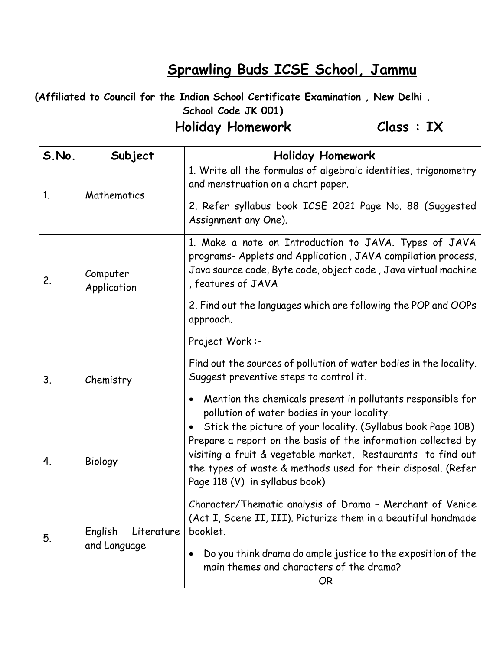## **Sprawling Buds ICSE School, Jammu**

**(Affiliated to Council for the Indian School Certificate Examination , New Delhi . School Code JK 001)**

## **Holiday Homework Class : IX**

| S.No. | Subject                               | <b>Holiday Homework</b>                                                                                                                                                                                                         |
|-------|---------------------------------------|---------------------------------------------------------------------------------------------------------------------------------------------------------------------------------------------------------------------------------|
| 1.    | Mathematics                           | 1. Write all the formulas of algebraic identities, trigonometry<br>and menstruation on a chart paper.                                                                                                                           |
|       |                                       | 2. Refer syllabus book ICSE 2021 Page No. 88 (Suggested<br>Assignment any One).                                                                                                                                                 |
| 2.    | Computer<br>Application               | 1. Make a note on Introduction to JAVA. Types of JAVA<br>programs- Applets and Application, JAVA compilation process,<br>Java source code, Byte code, object code, Java virtual machine<br>, features of JAVA                   |
|       |                                       | 2. Find out the languages which are following the POP and OOPs<br>approach.                                                                                                                                                     |
| 3.    | Chemistry                             | Project Work:-<br>Find out the sources of pollution of water bodies in the locality.                                                                                                                                            |
|       |                                       | Suggest preventive steps to control it.<br>Mention the chemicals present in pollutants responsible for<br>pollution of water bodies in your locality.                                                                           |
|       |                                       | • Stick the picture of your locality. (Syllabus book Page 108)                                                                                                                                                                  |
| 4.    | Biology                               | Prepare a report on the basis of the information collected by<br>visiting a fruit & vegetable market, Restaurants to find out<br>the types of waste & methods used for their disposal. (Refer<br>Page 118 (V) in syllabus book) |
| 5.    | English<br>Literature<br>and Language | Character/Thematic analysis of Drama - Merchant of Venice<br>(Act I, Scene II, III). Picturize them in a beautiful handmade<br>booklet.                                                                                         |
|       |                                       | Do you think drama do ample justice to the exposition of the<br>main themes and characters of the drama?<br><b>OR</b>                                                                                                           |